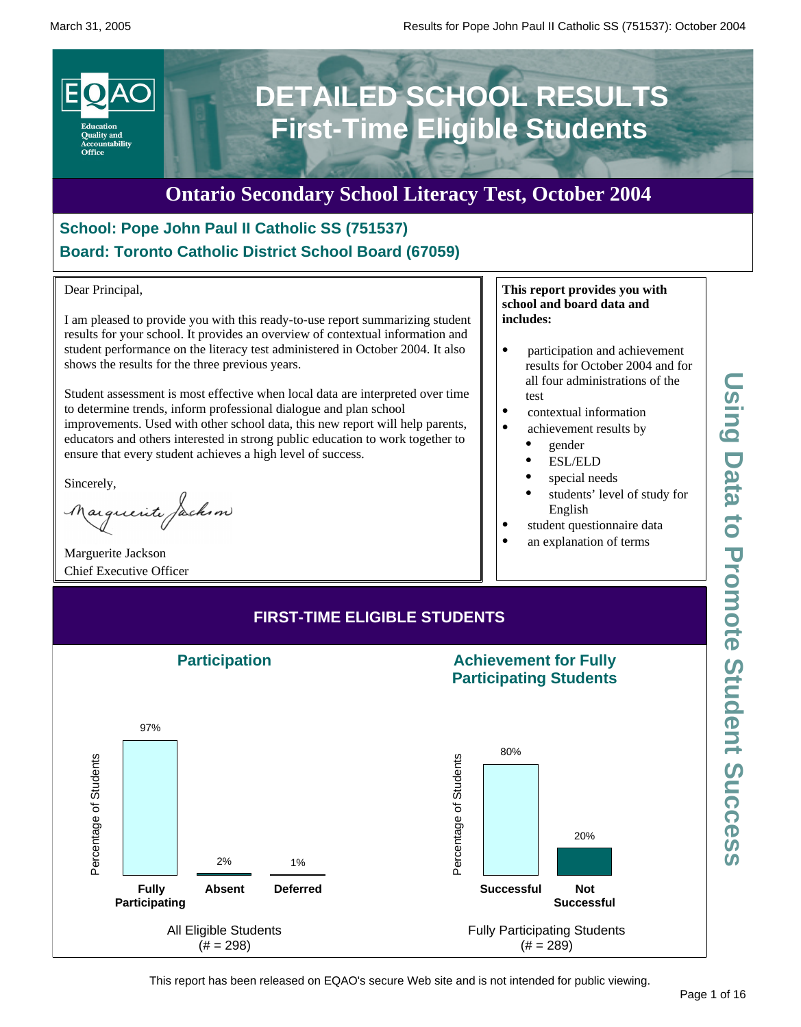

# **Ontario Secondary School Literacy Test, October 2004**

## **School: Pope John Paul II Catholic SS (751537) Board: Toronto Catholic District School Board (67059)**

Dear Principal,

I am pleased to provide you with this ready-to-use report summarizing student results for your school. It provides an overview of contextual information and student performance on the literacy test administered in October 2004. It also shows the results for the three previous years.

Student assessment is most effective when local data are interpreted over time to determine trends, inform professional dialogue and plan school improvements. Used with other school data, this new report will help parents, educators and others interested in strong public education to work together to ensure that every student achieves a high level of success.

Sincerely,

Marguerite Jackson

Marguerite Jackson Chief Executive Officer

#### **This report provides you with school and board data and includes:**

- participation and achievement results for October 2004 and for all four administrations of the test
- contextual information
- achievement results by
	- · gender
	- · ESL/ELD
	- special needs
	- students' level of study for English
- student questionnaire data
- an explanation of terms



This report has been released on EQAO's secure Web site and is not intended for public viewing.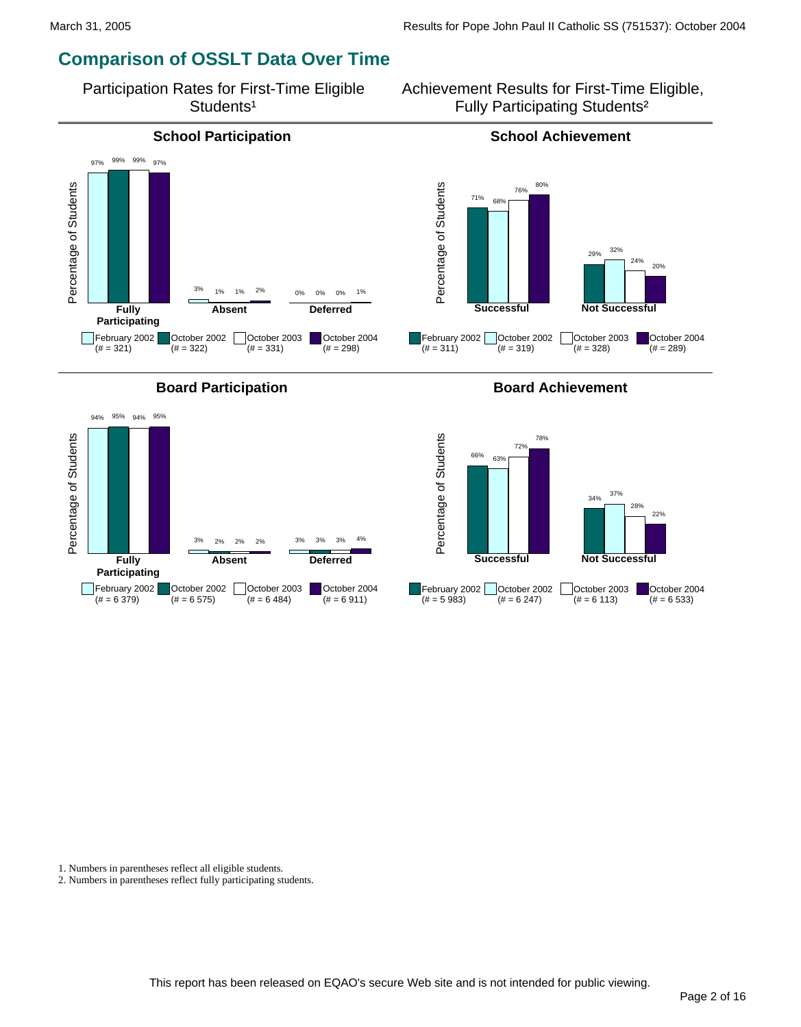## **Comparison of OSSLT Data Over Time**

Participation Rates for First-Time Eligible Students<sup>1</sup>

Achievement Results for First-Time Eligible, Fully Participating Students²

Percentage of Students

Percentage of Students

 $(# = 311)$ 

71%

68%

76% 80%

**Successful**

 $(# = 319)$ 

February 2002 | October 2002



![](_page_1_Figure_6.jpeg)

#### **Board Participation Board Achievement**

29% 32%

October 2003  $(\# = 328)$ 

**Not Successful**

24% 20%

October 2004  $(# = 289)$ 

![](_page_1_Figure_8.jpeg)

1. Numbers in parentheses reflect all eligible students.

2. Numbers in parentheses reflect fully participating students.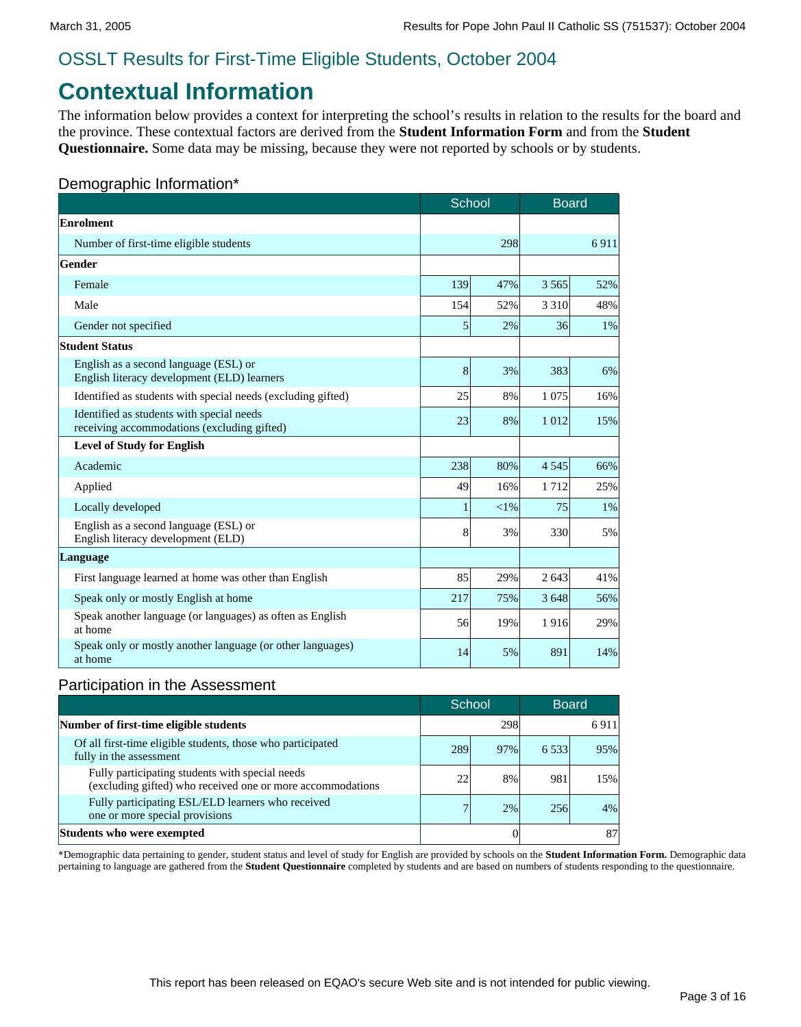# **Contextual Information**

The information below provides a context for interpreting the school's results in relation to the results for the board and the province. These contextual factors are derived from the **Student Information Form** and from the **Student Questionnaire.** Some data may be missing, because they were not reported by schools or by students.

#### Demographic Information\*

|                                                                                          | School         |          | <b>Board</b> |      |
|------------------------------------------------------------------------------------------|----------------|----------|--------------|------|
| Enrolment                                                                                |                |          |              |      |
| Number of first-time eligible students                                                   |                | 298      |              | 6911 |
| Gender                                                                                   |                |          |              |      |
| Female                                                                                   | 139            | 47%      | 3 5 6 5      | 52%  |
| Male                                                                                     | 154            | 52%      | 3 3 1 0      | 48%  |
| Gender not specified                                                                     | $\mathfrak{h}$ | 2%       | 36           | 1%   |
| <b>Student Status</b>                                                                    |                |          |              |      |
| English as a second language (ESL) or<br>English literacy development (ELD) learners     | 8              | 3%       | 383          | 6%   |
| Identified as students with special needs (excluding gifted)                             | 25             | 8%       | 1 0 7 5      | 16%  |
| Identified as students with special needs<br>receiving accommodations (excluding gifted) | 23             | 8%       | 1012         | 15%  |
| <b>Level of Study for English</b>                                                        |                |          |              |      |
| Academic                                                                                 | 238            | 80%      | 4 5 4 5      | 66%  |
| Applied                                                                                  | 49             | 16%      | 1712         | 25%  |
| Locally developed                                                                        | 1              | ${<}1\%$ | 75           | 1%   |
| English as a second language (ESL) or<br>English literacy development (ELD)              | 8              | 3%       | 330          | 5%   |
| Language                                                                                 |                |          |              |      |
| First language learned at home was other than English                                    | 85             | 29%      | 2 6 4 3      | 41%  |
| Speak only or mostly English at home                                                     | 217            | 75%      | 3 6 4 8      | 56%  |
| Speak another language (or languages) as often as English<br>at home                     | 56             | 19%      | 1916         | 29%  |
| Speak only or mostly another language (or other languages)<br>at home                    | 14             | 5%       | 891          | 14%  |

#### Participation in the Assessment

|                                                                                                               |     | School |           | <b>Board</b> |
|---------------------------------------------------------------------------------------------------------------|-----|--------|-----------|--------------|
| Number of first-time eligible students                                                                        |     | 298    |           | 6911         |
| Of all first-time eligible students, those who participated<br>fully in the assessment                        | 289 | 97%    | 6 5 3 3 1 | 95%          |
| Fully participating students with special needs<br>(excluding gifted) who received one or more accommodations | 22  | 8%     | 981       | 15%          |
| Fully participating ESL/ELD learners who received<br>one or more special provisions                           | 7   | 2%     | 256       | 4%           |
| Students who were exempted                                                                                    |     |        |           | 87           |

\*Demographic data pertaining to gender, student status and level of study for English are provided by schools on the **Student Information Form.** Demographic data pertaining to language are gathered from the **Student Questionnaire** completed by students and are based on numbers of students responding to the questionnaire.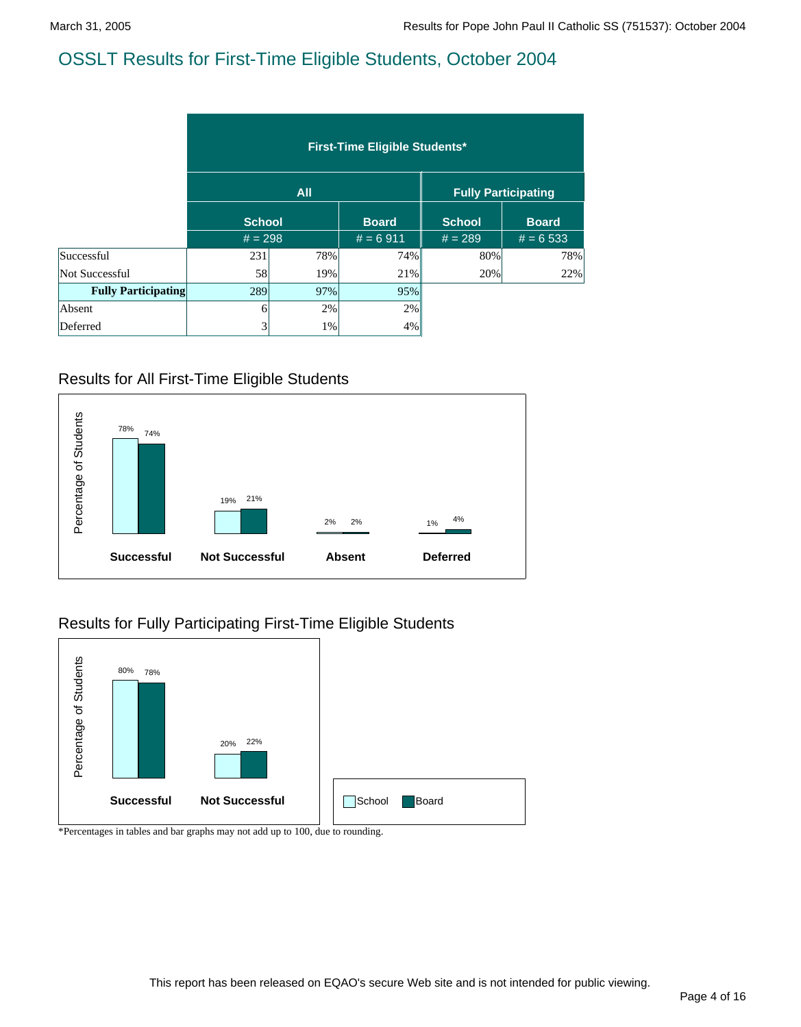|                            | <b>First-Time Eligible Students*</b> |            |              |                            |              |  |  |  |  |
|----------------------------|--------------------------------------|------------|--------------|----------------------------|--------------|--|--|--|--|
|                            |                                      | <b>All</b> |              | <b>Fully Participating</b> |              |  |  |  |  |
|                            | <b>School</b>                        |            | <b>Board</b> | <b>School</b>              | <b>Board</b> |  |  |  |  |
|                            | $# = 298$                            |            | $# = 6911$   | $# = 289$                  | $# = 6533$   |  |  |  |  |
| Successful                 | 231                                  | 78%        | 74%          | 80%                        | 78%          |  |  |  |  |
| Not Successful             | 58                                   | 19%        | 21%          | 20%                        | 22%          |  |  |  |  |
| <b>Fully Participating</b> | 289                                  | 97%        | 95%          |                            |              |  |  |  |  |
| Absent                     | 61                                   | 2%         | 2%           |                            |              |  |  |  |  |
| Deferred                   | 3                                    | 1%         | 4%           |                            |              |  |  |  |  |

#### Results for All First-Time Eligible Students

![](_page_3_Figure_5.jpeg)

#### Results for Fully Participating First-Time Eligible Students

![](_page_3_Figure_7.jpeg)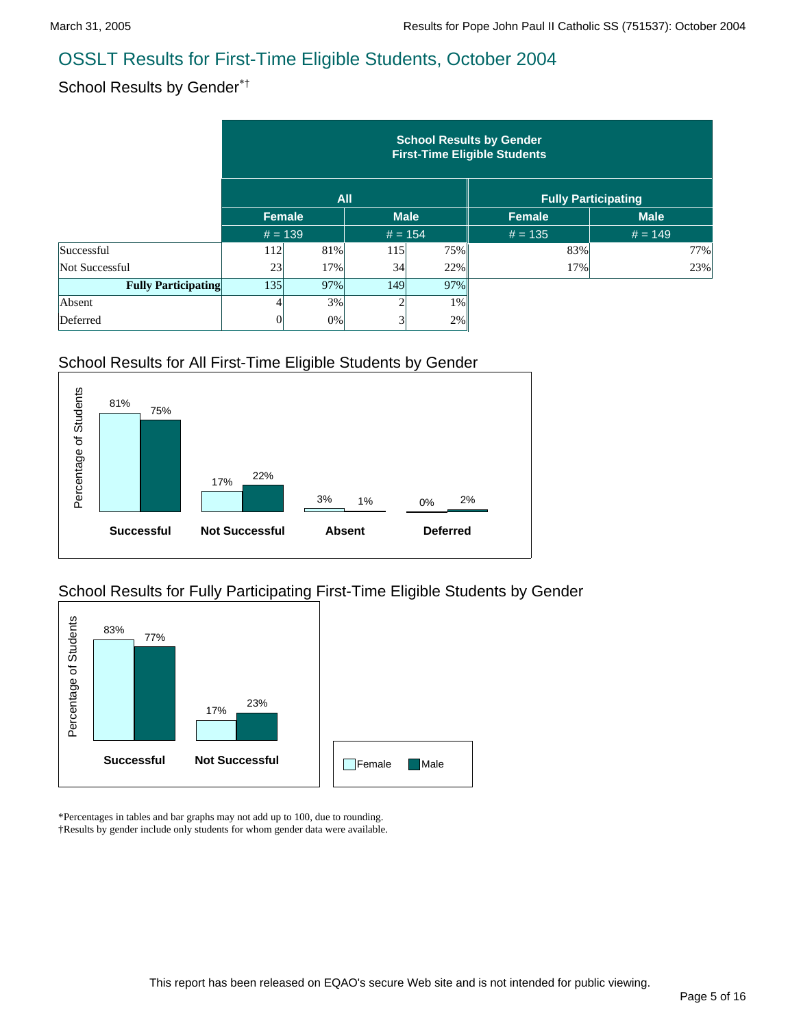## School Results by Gender\*†

|                            | <b>School Results by Gender</b><br><b>First-Time Eligible Students</b> |       |             |           |               |                            |  |  |  |  |  |
|----------------------------|------------------------------------------------------------------------|-------|-------------|-----------|---------------|----------------------------|--|--|--|--|--|
|                            |                                                                        |       | <b>All</b>  |           |               | <b>Fully Participating</b> |  |  |  |  |  |
|                            | Female                                                                 |       | <b>Male</b> |           | <b>Female</b> | <b>Male</b>                |  |  |  |  |  |
|                            | $# = 139$                                                              |       |             | $# = 154$ | $# = 135$     | $# = 149$                  |  |  |  |  |  |
| Successful                 | 112                                                                    | 81%   | 115         | 75%       | 83%           | 77%                        |  |  |  |  |  |
| Not Successful             | 23                                                                     | 17%   | 34          | 22%       | 17%           | 23%                        |  |  |  |  |  |
| <b>Fully Participating</b> | 135                                                                    | 97%   | 149         | 97%       |               |                            |  |  |  |  |  |
| Absent                     |                                                                        | 3%    | ◠           | $1\%$     |               |                            |  |  |  |  |  |
| Deferred                   | $\overline{0}$                                                         | $0\%$ | 3           | 2%        |               |                            |  |  |  |  |  |

#### School Results for All First-Time Eligible Students by Gender

![](_page_4_Figure_6.jpeg)

#### School Results for Fully Participating First-Time Eligible Students by Gender

![](_page_4_Figure_8.jpeg)

\*Percentages in tables and bar graphs may not add up to 100, due to rounding. †Results by gender include only students for whom gender data were available.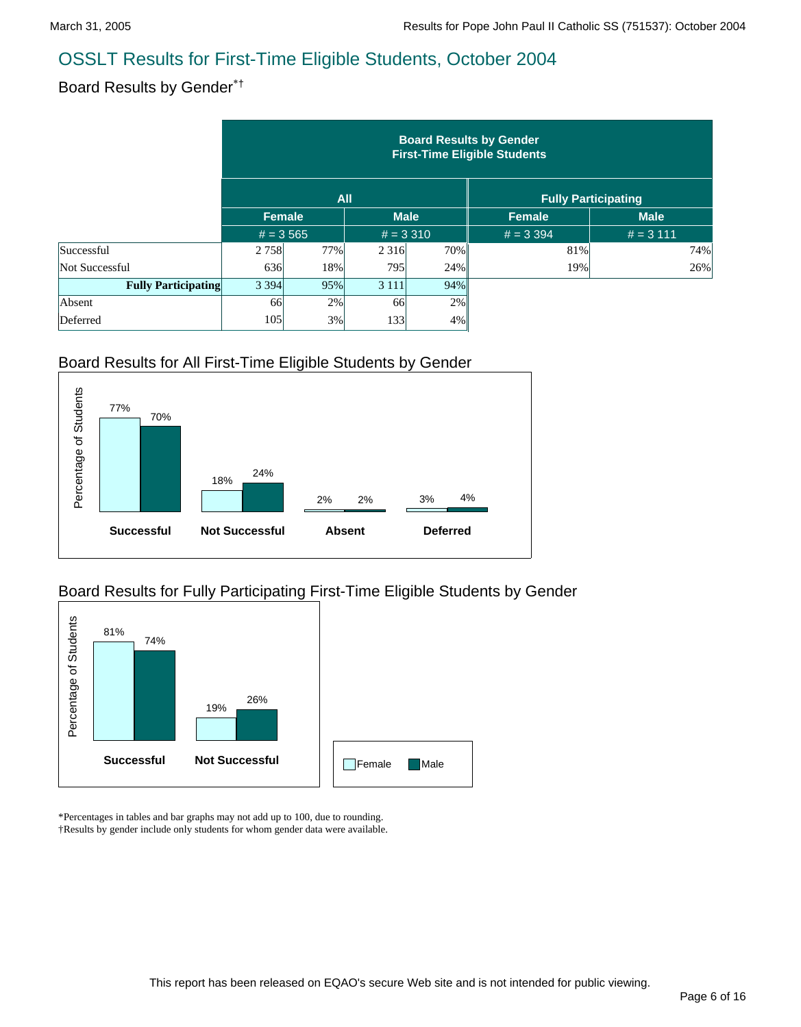### Board Results by Gender\*†

|                            | <b>Board Results by Gender</b><br><b>First-Time Eligible Students</b> |            |            |             |               |                            |  |  |  |  |
|----------------------------|-----------------------------------------------------------------------|------------|------------|-------------|---------------|----------------------------|--|--|--|--|
|                            |                                                                       | <b>All</b> |            |             |               | <b>Fully Participating</b> |  |  |  |  |
|                            | <b>Female</b>                                                         |            |            | <b>Male</b> | <b>Female</b> | <b>Male</b>                |  |  |  |  |
|                            | $# = 3,565$                                                           |            | $# = 3310$ |             | $# = 3,394$   | $# = 3 111$                |  |  |  |  |
| Successful                 | 2 7 5 8                                                               | 77%        | 2 3 1 6    | 70%         | 81%           | 74%                        |  |  |  |  |
| Not Successful             | 636                                                                   | 18%        | 795        | 24%         | 19%           | 26%                        |  |  |  |  |
| <b>Fully Participating</b> | 3 3 9 4                                                               | 95%        | 3 1 1 1    | 94%         |               |                            |  |  |  |  |
| Absent                     | 66                                                                    | 2%         | 66         | 2%          |               |                            |  |  |  |  |
| Deferred                   | 105                                                                   | 3%         | 133        | $4\%$       |               |                            |  |  |  |  |

#### Board Results for All First-Time Eligible Students by Gender

![](_page_5_Figure_6.jpeg)

#### Board Results for Fully Participating First-Time Eligible Students by Gender

![](_page_5_Figure_8.jpeg)

\*Percentages in tables and bar graphs may not add up to 100, due to rounding. †Results by gender include only students for whom gender data were available.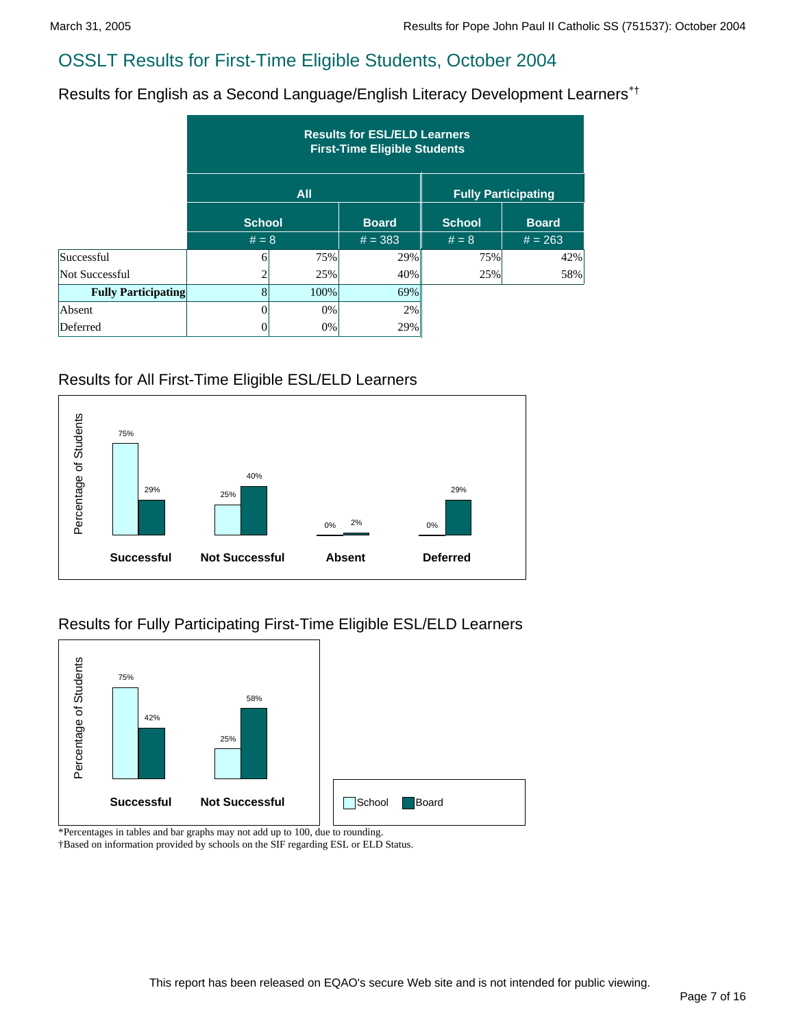Results for English as a Second Language/English Literacy Development Learners\*†

|                            | <b>Results for ESL/ELD Learners</b><br><b>First-Time Eligible Students</b> |            |              |               |                            |  |  |  |  |  |
|----------------------------|----------------------------------------------------------------------------|------------|--------------|---------------|----------------------------|--|--|--|--|--|
|                            |                                                                            | <b>All</b> |              |               | <b>Fully Participating</b> |  |  |  |  |  |
|                            | <b>School</b>                                                              |            | <b>Board</b> | <b>School</b> | <b>Board</b>               |  |  |  |  |  |
|                            | $# = 8$                                                                    |            | $# = 383$    | $# = 8$       | $# = 263$                  |  |  |  |  |  |
| Successful                 | 61                                                                         | 75%        | 29%          | 75%           | 42%                        |  |  |  |  |  |
| Not Successful             | $\overline{2}$                                                             | 25%        | 40%          | 25%           | 58%                        |  |  |  |  |  |
| <b>Fully Participating</b> | $\vert 8 \vert$                                                            | 100%       | 69%          |               |                            |  |  |  |  |  |
| Absent                     | 0                                                                          | $0\%$      | 2%           |               |                            |  |  |  |  |  |
| Deferred                   | 0                                                                          | $0\%$      | 29%          |               |                            |  |  |  |  |  |

#### Results for All First-Time Eligible ESL/ELD Learners

![](_page_6_Figure_6.jpeg)

#### Results for Fully Participating First-Time Eligible ESL/ELD Learners

![](_page_6_Figure_8.jpeg)

\*Percentages in tables and bar graphs may not add up to 100, due to rounding.

†Based on information provided by schools on the SIF regarding ESL or ELD Status.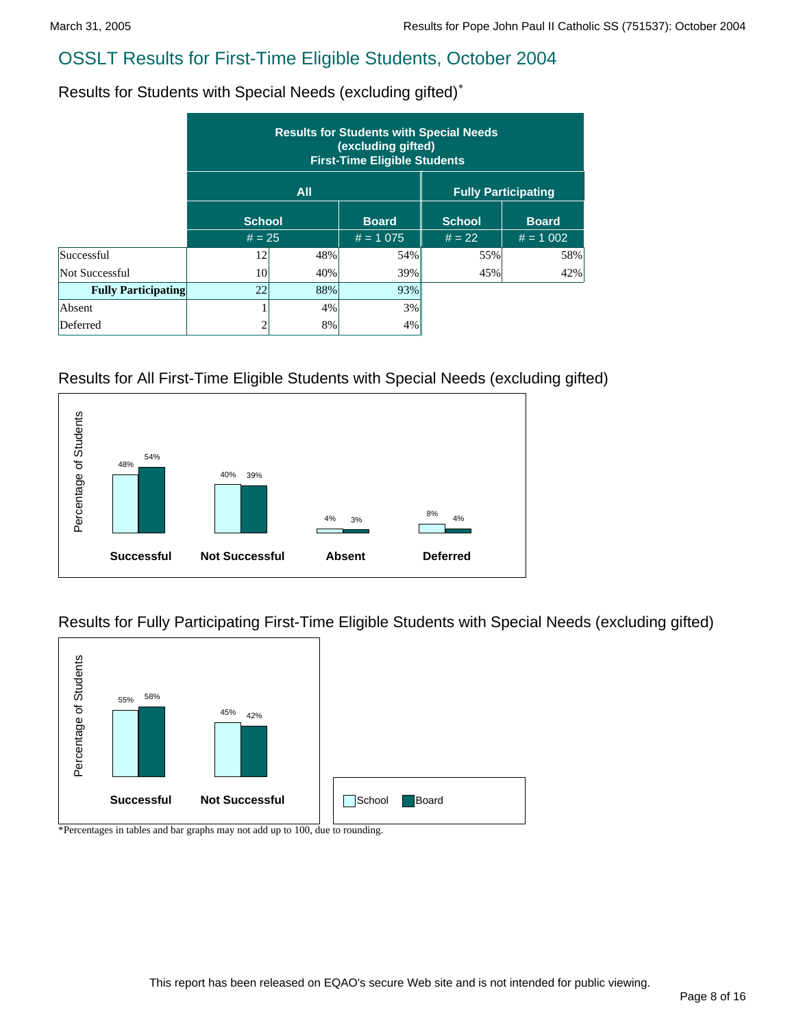Results for Students with Special Needs (excluding gifted)\*

|                            | <b>Results for Students with Special Needs</b><br>(excluding gifted)<br><b>First-Time Eligible Students</b> |            |              |                            |              |  |  |  |  |  |
|----------------------------|-------------------------------------------------------------------------------------------------------------|------------|--------------|----------------------------|--------------|--|--|--|--|--|
|                            |                                                                                                             | <b>All</b> |              | <b>Fully Participating</b> |              |  |  |  |  |  |
|                            | <b>School</b>                                                                                               |            | <b>Board</b> | <b>School</b>              | <b>Board</b> |  |  |  |  |  |
|                            | $# = 25$                                                                                                    |            | $# = 1075$   | $# = 22$                   | $# = 1002$   |  |  |  |  |  |
| Successful                 | 12                                                                                                          | 48%        | 54%          | 55%                        | 58%          |  |  |  |  |  |
| Not Successful             | <b>10</b>                                                                                                   | 40%        | 39%          | 45%                        | 42%          |  |  |  |  |  |
| <b>Fully Participating</b> | 22                                                                                                          | 88%        | 93%          |                            |              |  |  |  |  |  |
| Absent                     |                                                                                                             | 4%         | 3%           |                            |              |  |  |  |  |  |
| Deferred                   | ◠                                                                                                           | 8%         | 4%           |                            |              |  |  |  |  |  |

#### Results for All First-Time Eligible Students with Special Needs (excluding gifted)

![](_page_7_Figure_6.jpeg)

Results for Fully Participating First-Time Eligible Students with Special Needs (excluding gifted)

![](_page_7_Figure_8.jpeg)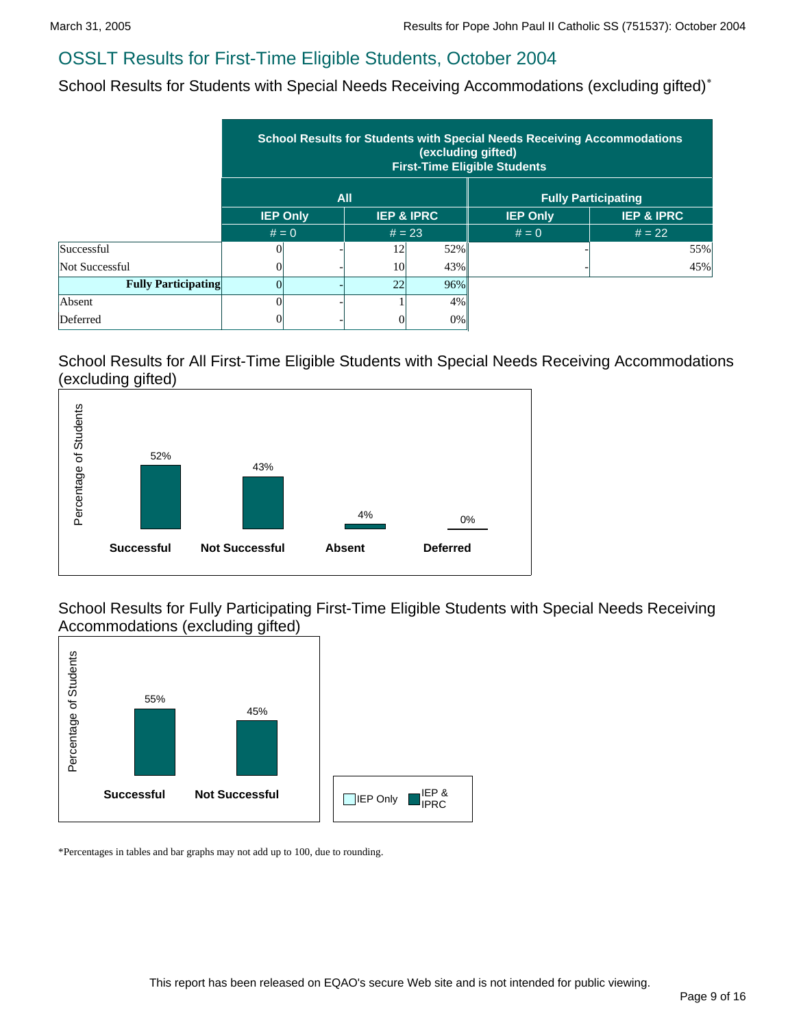School Results for Students with Special Needs Receiving Accommodations (excluding gifted)<sup>\*</sup>

|                            | <b>School Results for Students with Special Needs Receiving Accommodations</b><br>(excluding gifted)<br><b>First-Time Eligible Students</b> |                                          |          |                 |                       |                            |  |  |  |  |
|----------------------------|---------------------------------------------------------------------------------------------------------------------------------------------|------------------------------------------|----------|-----------------|-----------------------|----------------------------|--|--|--|--|
|                            |                                                                                                                                             |                                          | All      |                 |                       | <b>Fully Participating</b> |  |  |  |  |
|                            |                                                                                                                                             | <b>IEP &amp; IPRC</b><br><b>IEP Only</b> |          | <b>IEP Only</b> | <b>IEP &amp; IPRC</b> |                            |  |  |  |  |
|                            | $# = 0$                                                                                                                                     |                                          | $# = 23$ |                 | $# = 0$               | $# = 22$                   |  |  |  |  |
| Successful                 | OI                                                                                                                                          |                                          | 12       | 52%             |                       | 55%                        |  |  |  |  |
| Not Successful             | $\Omega$                                                                                                                                    |                                          | 10       | 43%             |                       | 45%                        |  |  |  |  |
| <b>Fully Participating</b> |                                                                                                                                             |                                          | 22       | 96%             |                       |                            |  |  |  |  |
| Absent                     |                                                                                                                                             |                                          |          | 4%              |                       |                            |  |  |  |  |
| Deferred                   |                                                                                                                                             |                                          |          | $0\%$           |                       |                            |  |  |  |  |

#### School Results for All First-Time Eligible Students with Special Needs Receiving Accommodations (excluding gifted)

![](_page_8_Figure_6.jpeg)

School Results for Fully Participating First-Time Eligible Students with Special Needs Receiving Accommodations (excluding gifted)

![](_page_8_Figure_8.jpeg)

\*Percentages in tables and bar graphs may not add up to 100, due to rounding.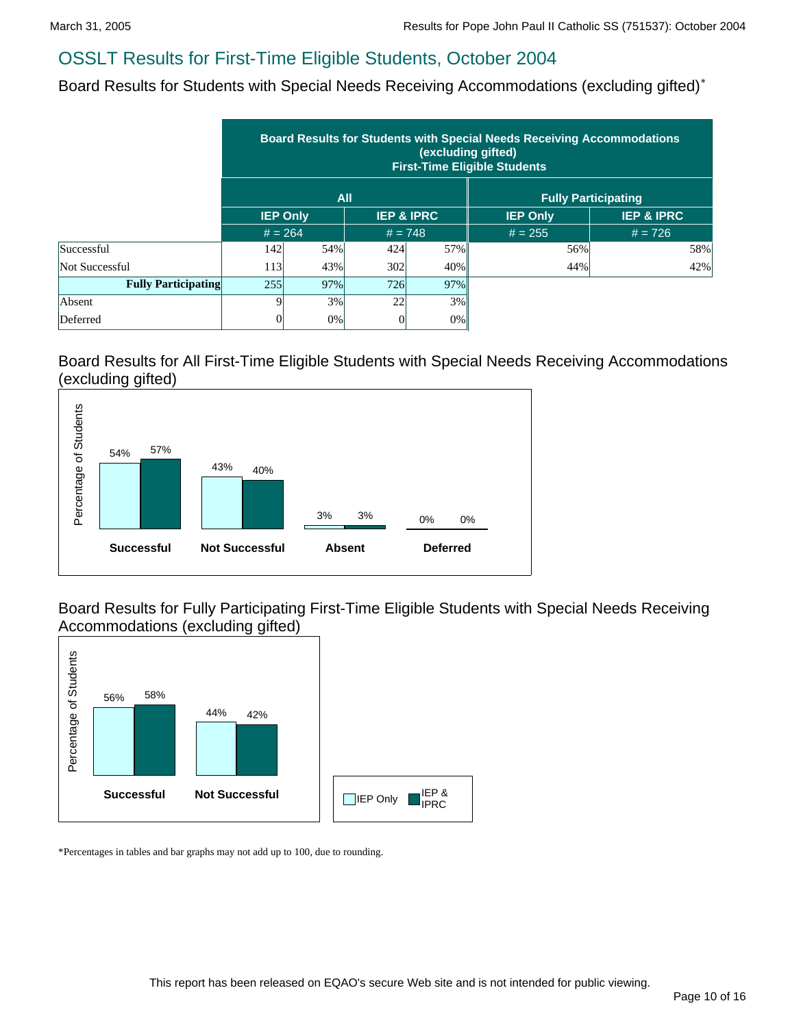Board Results for Students with Special Needs Receiving Accommodations (excluding gifted)\*

|                            | <b>Board Results for Students with Special Needs Receiving Accommodations</b><br>(excluding gifted)<br><b>First-Time Eligible Students</b> |            |                       |           |                 |                            |  |  |  |
|----------------------------|--------------------------------------------------------------------------------------------------------------------------------------------|------------|-----------------------|-----------|-----------------|----------------------------|--|--|--|
|                            |                                                                                                                                            | <b>All</b> |                       |           |                 | <b>Fully Participating</b> |  |  |  |
|                            | <b>IEP Only</b>                                                                                                                            |            | <b>IEP &amp; IPRC</b> |           | <b>IEP Only</b> | <b>IEP &amp; IPRC</b>      |  |  |  |
|                            | $# = 264$                                                                                                                                  |            |                       | $# = 748$ | $# = 255$       | $# = 726$                  |  |  |  |
| Successful                 | 142                                                                                                                                        | 54%        | 424                   | 57%       | 56%             | 58%                        |  |  |  |
| Not Successful             | 113                                                                                                                                        | 43%        | 302                   | 40%       | 44%             | 42%                        |  |  |  |
| <b>Fully Participating</b> | 255                                                                                                                                        | 97%        | 726                   | 97%       |                 |                            |  |  |  |
| Absent                     |                                                                                                                                            | 3%         | 22                    | 3%        |                 |                            |  |  |  |
| Deferred                   |                                                                                                                                            | 0%         |                       | 0%        |                 |                            |  |  |  |

Board Results for All First-Time Eligible Students with Special Needs Receiving Accommodations (excluding gifted)

![](_page_9_Figure_6.jpeg)

Board Results for Fully Participating First-Time Eligible Students with Special Needs Receiving Accommodations (excluding gifted)

![](_page_9_Figure_8.jpeg)

\*Percentages in tables and bar graphs may not add up to 100, due to rounding.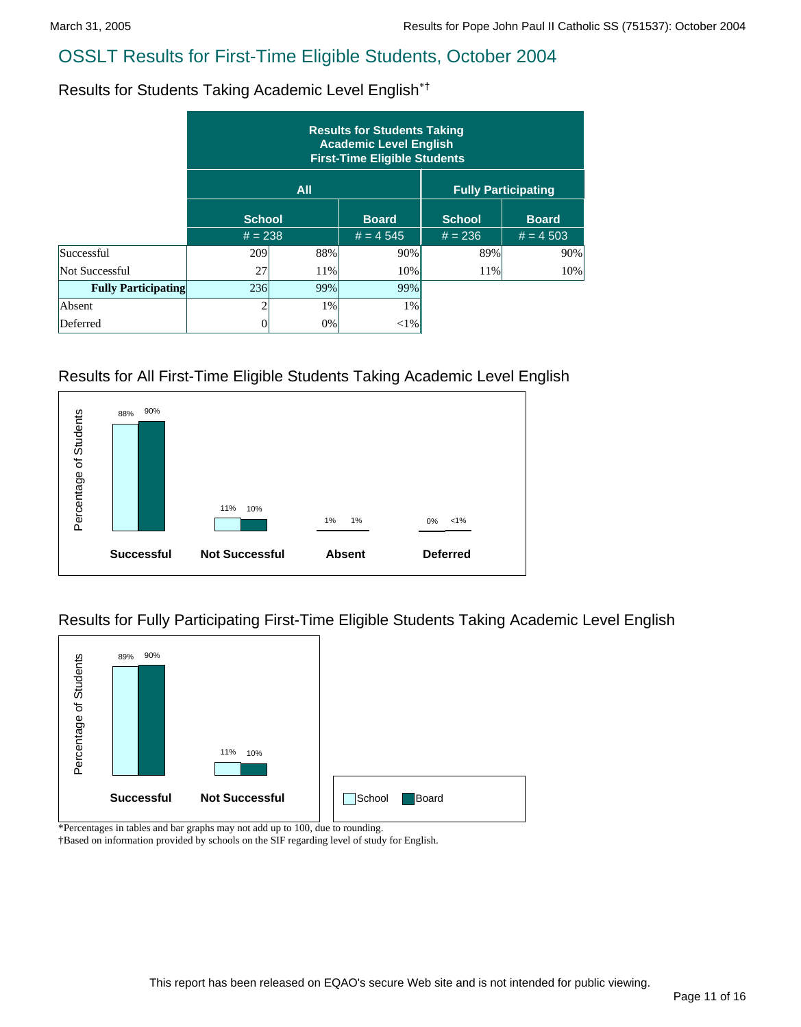Results for Students Taking Academic Level English\*†

|                            | <b>Results for Students Taking</b><br><b>Academic Level English</b><br><b>First-Time Eligible Students</b> |            |              |                            |              |  |  |  |  |
|----------------------------|------------------------------------------------------------------------------------------------------------|------------|--------------|----------------------------|--------------|--|--|--|--|
|                            |                                                                                                            | <b>All</b> |              | <b>Fully Participating</b> |              |  |  |  |  |
|                            | <b>School</b>                                                                                              |            | <b>Board</b> | <b>School</b>              | <b>Board</b> |  |  |  |  |
|                            | $# = 238$                                                                                                  |            | $# = 4545$   | $# = 236$                  | $# = 4503$   |  |  |  |  |
| Successful                 | 209                                                                                                        | 88%        | 90%          | 89%                        | 90%          |  |  |  |  |
| Not Successful             | 27                                                                                                         | 11%        | 10%          | 11%                        | 10%          |  |  |  |  |
| <b>Fully Participating</b> | 236                                                                                                        | 99%        | 99%          |                            |              |  |  |  |  |
| Absent                     | $\mathfrak{D}$                                                                                             | 1%         | $1\%$        |                            |              |  |  |  |  |
| Deferred                   | 0                                                                                                          | 0%         | $<$ 1%       |                            |              |  |  |  |  |

## Results for All First-Time Eligible Students Taking Academic Level English

![](_page_10_Figure_6.jpeg)

Results for Fully Participating First-Time Eligible Students Taking Academic Level English

![](_page_10_Figure_8.jpeg)

\*Percentages in tables and bar graphs may not add up to 100, due to rounding.

†Based on information provided by schools on the SIF regarding level of study for English.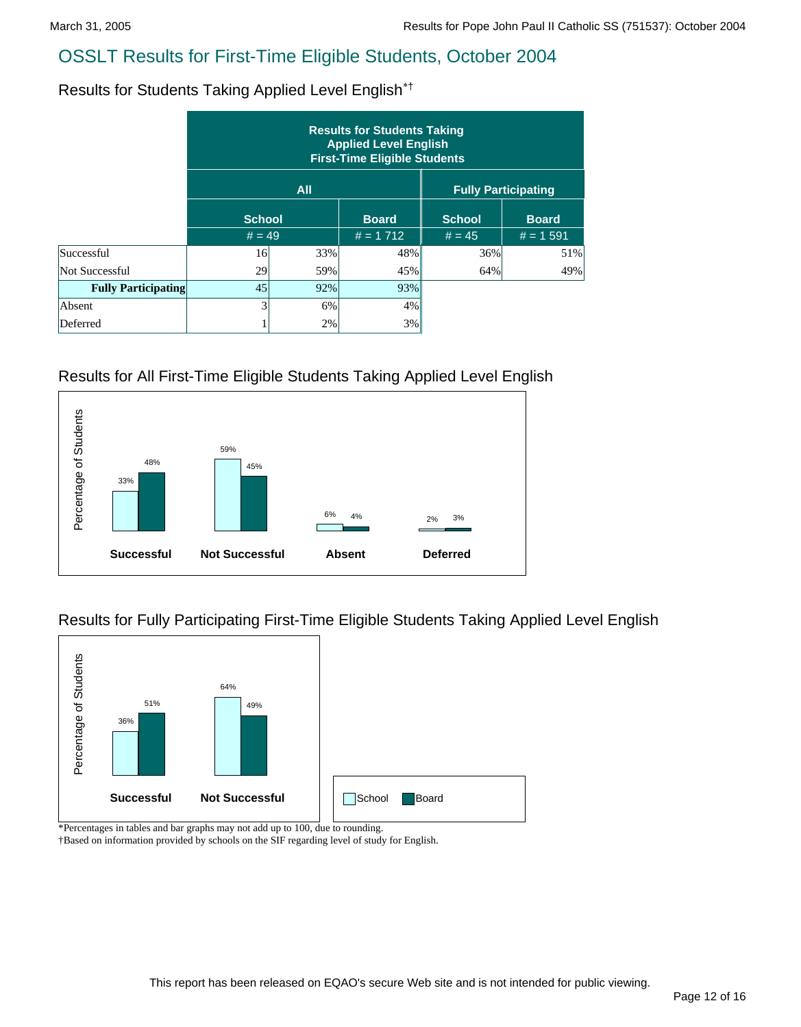Results for Students Taking Applied Level English\*†

|                            | <b>Results for Students Taking</b><br><b>Applied Level English</b><br><b>First-Time Eligible Students</b> |     |              |                            |              |  |  |  |  |
|----------------------------|-----------------------------------------------------------------------------------------------------------|-----|--------------|----------------------------|--------------|--|--|--|--|
|                            |                                                                                                           | All |              | <b>Fully Participating</b> |              |  |  |  |  |
|                            | <b>School</b>                                                                                             |     | <b>Board</b> | <b>School</b>              | <b>Board</b> |  |  |  |  |
|                            | $# = 49$                                                                                                  |     | $# = 1712$   | $# = 45$                   | $# = 1.591$  |  |  |  |  |
| Successful                 | 16                                                                                                        | 33% | 48%          | 36%                        | 51%          |  |  |  |  |
| Not Successful             | 29                                                                                                        | 59% | 45%          | 64%                        | 49%          |  |  |  |  |
| <b>Fully Participating</b> | 45                                                                                                        | 92% | 93%          |                            |              |  |  |  |  |
| Absent                     |                                                                                                           | 6%  | 4%           |                            |              |  |  |  |  |
| Deferred                   |                                                                                                           | 2%  | 3%           |                            |              |  |  |  |  |

#### Results for All First-Time Eligible Students Taking Applied Level English

![](_page_11_Figure_6.jpeg)

Results for Fully Participating First-Time Eligible Students Taking Applied Level English

![](_page_11_Figure_8.jpeg)

\*Percentages in tables and bar graphs may not add up to 100, due to rounding.

†Based on information provided by schools on the SIF regarding level of study for English.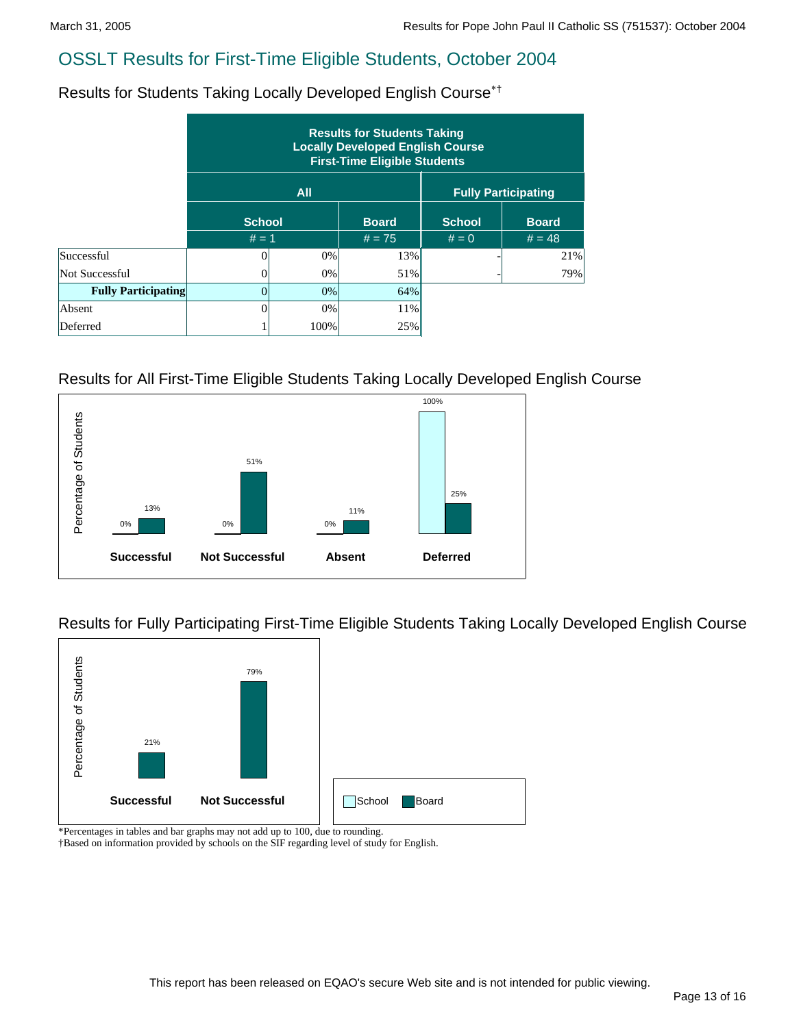Results for Students Taking Locally Developed English Course\*†

|                            | <b>Results for Students Taking</b><br><b>Locally Developed English Course</b><br><b>First-Time Eligible Students</b> |            |              |               |                            |  |  |  |  |  |
|----------------------------|----------------------------------------------------------------------------------------------------------------------|------------|--------------|---------------|----------------------------|--|--|--|--|--|
|                            |                                                                                                                      | <b>All</b> |              |               | <b>Fully Participating</b> |  |  |  |  |  |
|                            | <b>School</b>                                                                                                        |            | <b>Board</b> | <b>School</b> | <b>Board</b>               |  |  |  |  |  |
|                            | $# = 1$                                                                                                              |            | $# = 75$     | $# = 0$       | $# = 48$                   |  |  |  |  |  |
| Successful                 | 0                                                                                                                    | 0%         | 13%          |               | 21%                        |  |  |  |  |  |
| Not Successful             |                                                                                                                      | 0%         | 51%          |               | 79%                        |  |  |  |  |  |
| <b>Fully Participating</b> | 0                                                                                                                    | 0%         | 64%          |               |                            |  |  |  |  |  |
| Absent                     |                                                                                                                      | 0%         | 11%          |               |                            |  |  |  |  |  |
| Deferred                   |                                                                                                                      | 100%       | 25%          |               |                            |  |  |  |  |  |

#### Results for All First-Time Eligible Students Taking Locally Developed English Course

![](_page_12_Figure_6.jpeg)

Results for Fully Participating First-Time Eligible Students Taking Locally Developed English Course

![](_page_12_Figure_8.jpeg)

\*Percentages in tables and bar graphs may not add up to 100, due to rounding.

†Based on information provided by schools on the SIF regarding level of study for English.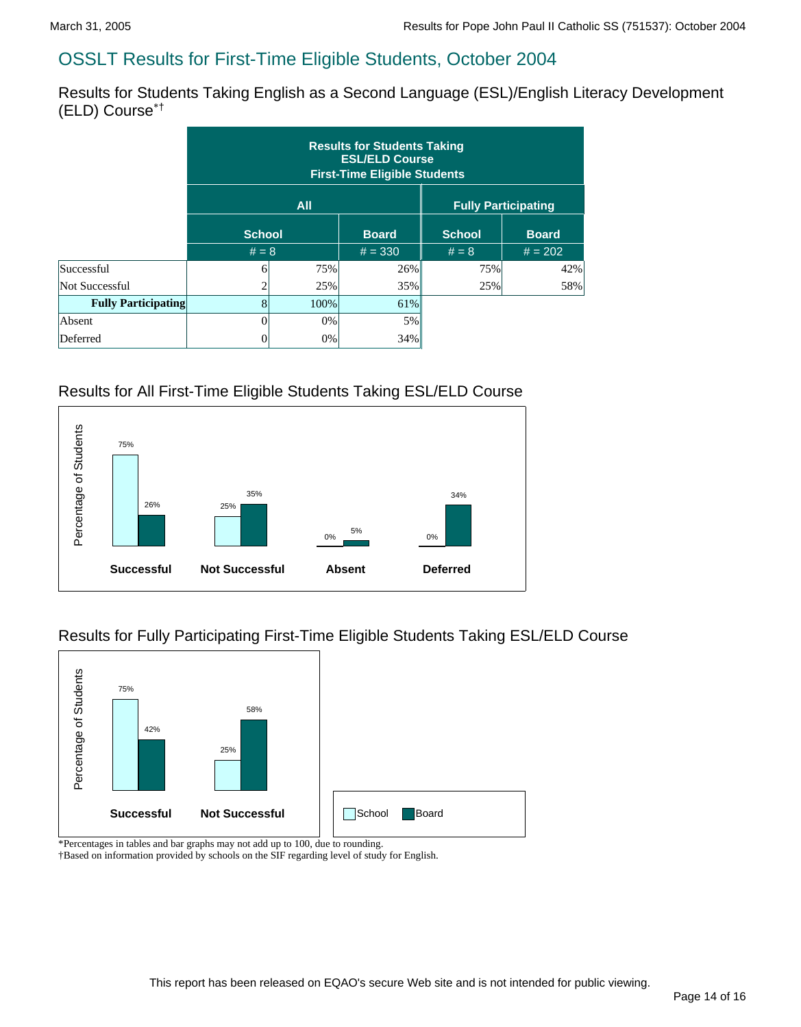Results for Students Taking English as a Second Language (ESL)/English Literacy Development (ELD) Course\*†

|                            | <b>Results for Students Taking</b><br><b>ESL/ELD Course</b><br><b>First-Time Eligible Students</b> |            |                            |               |              |  |  |  |
|----------------------------|----------------------------------------------------------------------------------------------------|------------|----------------------------|---------------|--------------|--|--|--|
|                            |                                                                                                    | <b>All</b> | <b>Fully Participating</b> |               |              |  |  |  |
|                            | <b>School</b>                                                                                      |            | <b>Board</b>               | <b>School</b> | <b>Board</b> |  |  |  |
|                            | $# = 8$                                                                                            |            | $# = 330$                  | $# = 8$       | $# = 202$    |  |  |  |
| Successful                 | 6                                                                                                  | 75%        | 26%                        | 75%           | 42%          |  |  |  |
| Not Successful             | $\overline{2}$                                                                                     | 25%        | 35%                        | 25%           | 58%          |  |  |  |
| <b>Fully Participating</b> | $\vert 8 \vert$                                                                                    | 100%       | 61%                        |               |              |  |  |  |
| Absent                     | 0                                                                                                  | 0%         | 5%                         |               |              |  |  |  |
| Deferred                   | 0                                                                                                  | $0\%$      | 34%                        |               |              |  |  |  |

## Results for All First-Time Eligible Students Taking ESL/ELD Course

![](_page_13_Figure_6.jpeg)

## Results for Fully Participating First-Time Eligible Students Taking ESL/ELD Course

![](_page_13_Figure_8.jpeg)

\*Percentages in tables and bar graphs may not add up to 100, due to rounding. †Based on information provided by schools on the SIF regarding level of study for English.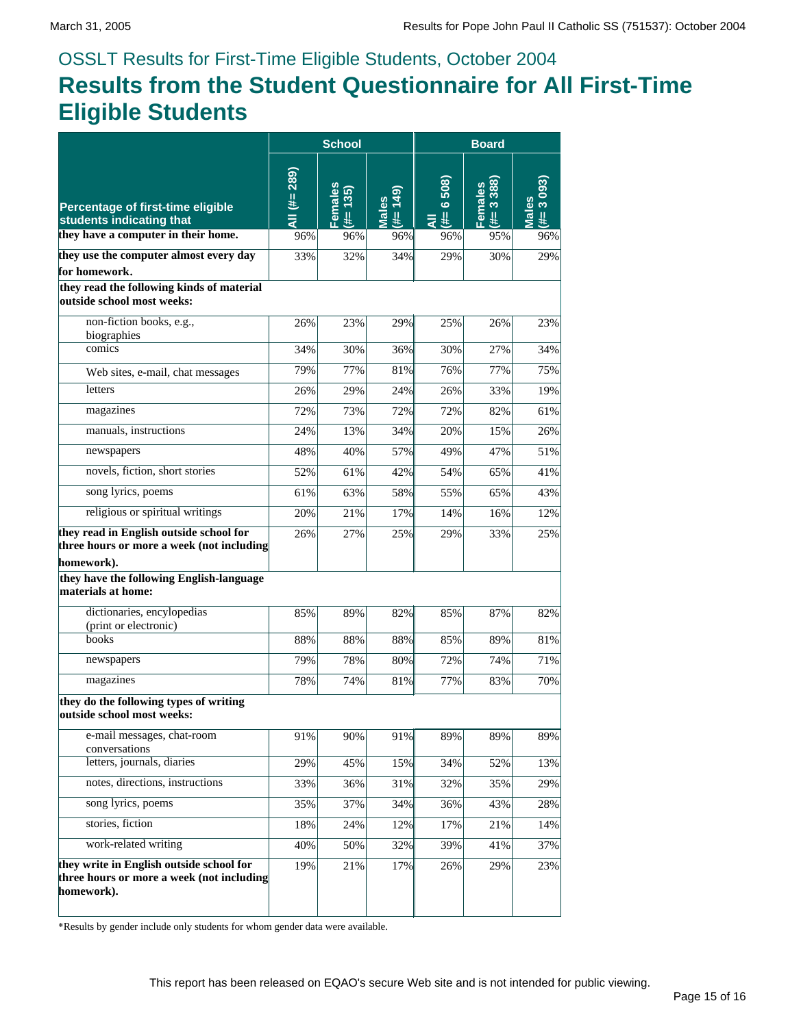# OSSLT Results for First-Time Eligible Students, October 2004 **Results from the Student Questionnaire for All First-Time Eligible Students**

|                                                                                                     | <b>School</b> |                      | <b>Board</b>      |                              |                                             |                     |
|-----------------------------------------------------------------------------------------------------|---------------|----------------------|-------------------|------------------------------|---------------------------------------------|---------------------|
| Percentage of first-time eligible<br>students indicating that                                       | All (#= 289)  | Females<br>135)<br>畫 | Males<br>(#= 149) | 508)<br>$\ddot{\circ}$<br>ミミ | 388)<br>Females<br>$\ddot{\mathbf{e}}$<br>进 | Males<br>(#= 3 093) |
| they have a computer in their home.                                                                 | 96%           | 96%                  | 96%               | 96%                          | 95%                                         | 96%                 |
| they use the computer almost every day                                                              | 33%           | 32%                  | 34%               | 29%                          | 30%                                         | 29%                 |
| for homework.<br>they read the following kinds of material<br>outside school most weeks:            |               |                      |                   |                              |                                             |                     |
| non-fiction books, e.g.,<br>biographies                                                             | 26%           | 23%                  | 29%               | 25%                          | 26%                                         | 23%                 |
| comics                                                                                              | 34%           | 30%                  | 36%               | 30%                          | 27%                                         | 34%                 |
| Web sites, e-mail, chat messages                                                                    | 79%           | 77%                  | 81%               | 76%                          | 77%                                         | 75%                 |
| letters                                                                                             | 26%           | 29%                  | 24%               | 26%                          | 33%                                         | 19%                 |
| magazines                                                                                           | 72%           | 73%                  | 72%               | 72%                          | 82%                                         | 61%                 |
| manuals, instructions                                                                               | 24%           | 13%                  | 34%               | 20%                          | 15%                                         | 26%                 |
| newspapers                                                                                          | 48%           | 40%                  | 57%               | 49%                          | 47%                                         | 51%                 |
| novels, fiction, short stories                                                                      | 52%           | 61%                  | 42%               | 54%                          | 65%                                         | 41%                 |
| song lyrics, poems                                                                                  | 61%           | 63%                  | 58%               | 55%                          | 65%                                         | 43%                 |
| religious or spiritual writings                                                                     | 20%           | 21%                  | 17%               | 14%                          | 16%                                         | 12%                 |
| they read in English outside school for<br>three hours or more a week (not including<br>homework).  | 26%           | 27%                  | 25%               | 29%                          | 33%                                         | 25%                 |
| they have the following English-language<br>materials at home:                                      |               |                      |                   |                              |                                             |                     |
| dictionaries, encylopedias<br>(print or electronic)                                                 | 85%           | 89%                  | 82%               | 85%                          | 87%                                         | 82%                 |
| books                                                                                               | 88%           | 88%                  | 88%               | 85%                          | 89%                                         | 81%                 |
| newspapers                                                                                          | 79%           | 78%                  | 80%               | 72%                          | 74%                                         | 71%                 |
| magazines                                                                                           | 78%           | 74%                  | 81%               | 77%                          | 83%                                         | 70%                 |
| they do the following types of writing<br>outside school most weeks:                                |               |                      |                   |                              |                                             |                     |
| e-mail messages, chat-room<br>conversations                                                         | 91%           | 90%                  | 91%               | 89%                          | 89%                                         | 89%                 |
| letters, journals, diaries                                                                          | 29%           | 45%                  | 15%               | 34%                          | 52%                                         | 13%                 |
| notes, directions, instructions                                                                     | 33%           | 36%                  | 31%               | 32%                          | 35%                                         | 29%                 |
| song lyrics, poems                                                                                  | 35%           | 37%                  | 34%               | 36%                          | 43%                                         | 28%                 |
| stories, fiction                                                                                    | 18%           | 24%                  | 12%               | 17%                          | 21%                                         | 14%                 |
| work-related writing                                                                                | 40%           | 50%                  | 32%               | 39%                          | 41%                                         | 37%                 |
| they write in English outside school for<br>three hours or more a week (not including<br>homework). | 19%           | 21%                  | 17%               | 26%                          | 29%                                         | 23%                 |

\*Results by gender include only students for whom gender data were available.